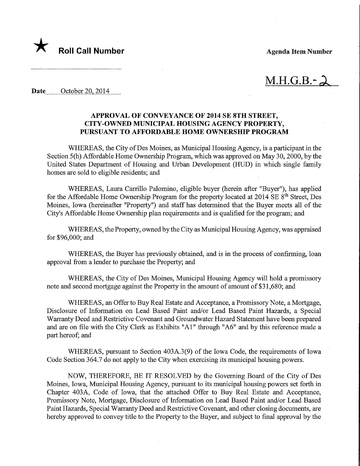

 $M.H.G.B.-$ 

Date........October 20,2014,

## APPROVAL OF CONVEYANCE OF 2014 SE 8TH STREET, CITY-OWNED MUNICIPAL HOUSING AGENCY PROPERTY, PURSUANT TO AFFORDABLE HOME OWNERSHIP PROGRAM

WHEREAS, the City of Des Moines, as Municipal Housing Agency, is a participant in the Section 5(h) Affordable Home Ownership Program, which was approved on May 30, 2000, by the United States Department of Housing and Urban Development (HUD) in which single family homes are sold to eligible residents; and

WHEREAS, Laura Carrillo Palomino, eligible buyer (herein after "Buyer"), has applied for the Affordable Home Ownership Program for the property located at  $2014 \text{ SE } 8^{\text{th}}$  Street, Des Moines, Iowa (hereinafter "Property") and staff has determined that the Buyer meets all of the City's Affordable Home Ownership plan requirements and is qualified for the program; and

WHEREAS, the Property, owned by the City as Municipal Housing Agency, was appraised for \$96,000; and

WHEREAS, the Buyer has previously obtained, and is in the process of confirming, loan approval from a lender to purchase the Property; and

WHEREAS, the City of Des Moines, Municipal Housing Agency will hold a promissory note and second mortgage against the Property in the amount of amount of \$31,680; and

WHEREAS, an Offer to Buy Real Estate and Acceptance, a Promissory Note, a Mortgage, Disclosure of Information on Lead Based Paint and/or Lead Based Paint Hazards, a Special Warranty Deed and Restrictive Covenant and Groundwater Hazard Statement have been prepared and are on file with the City Clerk as Exhibits "Al" through "A6" and by this reference made a part hereof; and

WHEREAS, pursuant to Section 403A.3(9) of the Iowa Code, the requirements of Iowa Code Section 364.7 do not apply to the City when exercising its municipal housing powers.

NOW, THEREFORE, BE IT RESOLVED by the Governing Board of the City of Des Moines, Iowa, Municipal Housing Agency, pursuant to its municipal housing powers set forth in Chapter 403A, Code of Iowa, that the attached Offer to Buy Real Estate and Acceptance, Promissory Note, Mortgage, Disclosure of Information on Lead Based Paint and/or Lead Based Paint Hazards, Special Warranty Deed and Restrictive Covenant, and other closing documents, are hereby approved to convey title to the Property to the Buyer, and subject to final approval by the